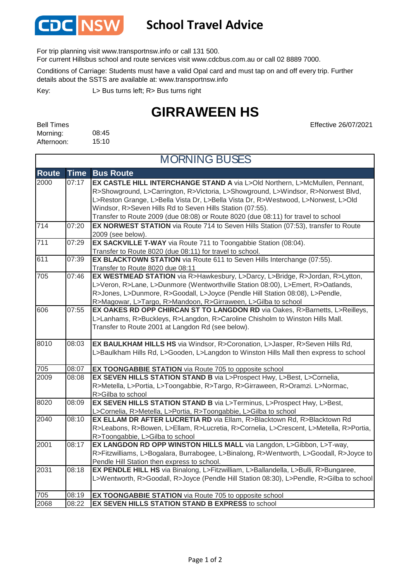

## **School Travel Advice**

For trip planning visit www.transportnsw.info or call 131 500.

For current Hillsbus school and route services visit www.cdcbus.com.au or call 02 8889 7000.

Conditions of Carriage: Students must have a valid Opal card and must tap on and off every trip. Further details about the SSTS are available at: www.transportnsw.info

L> Bus turns left; R> Bus turns right Key:

## **GIRRAWEEN HS**

08:45 15:10 Bell Times Morning: Afternoon:

Effective 26/07/2021

| <b>MORNING BUSES</b> |             |                                                                                                                                                                                                                                                                                                                                                                                                        |  |
|----------------------|-------------|--------------------------------------------------------------------------------------------------------------------------------------------------------------------------------------------------------------------------------------------------------------------------------------------------------------------------------------------------------------------------------------------------------|--|
| <b>Route</b>         | <b>Time</b> | <b>Bus Route</b>                                                                                                                                                                                                                                                                                                                                                                                       |  |
| 2000                 | 07:17       | EX CASTLE HILL INTERCHANGE STAND A via L>Old Northern, L>McMullen, Pennant,<br>R>Showground, L>Carrington, R>Victoria, L>Showground, L>Windsor, R>Norwest Blvd,<br>L>Reston Grange, L>Bella Vista Dr, L>Bella Vista Dr, R>Westwood, L>Norwest, L>Old<br>Windsor, R>Seven Hills Rd to Seven Hills Station (07:55).<br>Transfer to Route 2009 (due 08:08) or Route 8020 (due 08:11) for travel to school |  |
| 714                  | 07:20       | EX NORWEST STATION via Route 714 to Seven Hills Station (07:53), transfer to Route<br>2009 (see below).                                                                                                                                                                                                                                                                                                |  |
| 711                  | 07:29       | EX SACKVILLE T-WAY via Route 711 to Toongabbie Station (08:04).<br>Transfer to Route 8020 (due 08:11) for travel to school.                                                                                                                                                                                                                                                                            |  |
| 611                  | 07:39       | EX BLACKTOWN STATION via Route 611 to Seven Hills Interchange (07:55).<br>Transfer to Route 8020 due 08:11                                                                                                                                                                                                                                                                                             |  |
| 705                  | 07:46       | EX WESTMEAD STATION via R>Hawkesbury, L>Darcy, L>Bridge, R>Jordan, R>Lytton,<br>L>Veron, R>Lane, L>Dunmore (Wentworthville Station 08:00), L>Emert, R>Oatlands,<br>R>Jones, L>Dunmore, R>Goodall, L>Joyce (Pendle Hill Station 08:08), L>Pendle,<br>R>Magowar, L>Targo, R>Mandoon, R>Girraween, L>Gilba to school                                                                                      |  |
| 606                  | 07:55       | EX OAKES RD OPP CHIRCAN ST TO LANGDON RD via Oakes, R>Barnetts, L>Reilleys,<br>L>Lanhams, R>Buckleys, R>Langdon, R>Caroline Chisholm to Winston Hills Mall.<br>Transfer to Route 2001 at Langdon Rd (see below).                                                                                                                                                                                       |  |
| 8010                 | 08:03       | EX BAULKHAM HILLS HS via Windsor, R>Coronation, L>Jasper, R>Seven Hills Rd,<br>L>Baulkham Hills Rd, L>Gooden, L>Langdon to Winston Hills Mall then express to school                                                                                                                                                                                                                                   |  |
| 705                  | 08:07       | EX TOONGABBIE STATION via Route 705 to opposite school                                                                                                                                                                                                                                                                                                                                                 |  |
| 2009                 | 08:08       | EX SEVEN HILLS STATION STAND B via L>Prospect Hwy, L>Best, L>Cornelia,<br>R>Metella, L>Portia, L>Toongabbie, R>Targo, R>Girraween, R>Oramzi. L>Normac,<br>R>Gilba to school                                                                                                                                                                                                                            |  |
| 8020                 | 08:09       | EX SEVEN HILLS STATION STAND B via L>Terminus, L>Prospect Hwy, L>Best,<br>L>Cornelia, R>Metella, L>Portia, R>Toongabbie, L>Gilba to school                                                                                                                                                                                                                                                             |  |
| 2040                 | 08:10       | EX ELLAM DR AFTER LUCRETIA RD via Ellam, R>Blacktown Rd, R>Blacktown Rd<br>R>Leabons, R>Bowen, L>Ellam, R>Lucretia, R>Cornelia, L>Crescent, L>Metella, R>Portia,<br>R>Toongabbie, L>Gilba to school                                                                                                                                                                                                    |  |
| 2001                 | 08:17       | EX LANGDON RD OPP WINSTON HILLS MALL via Langdon, L>Gibbon, L>T-way,<br>R>Fitzwilliams, L>Bogalara, Burrabogee, L>Binalong, R>Wentworth, L>Goodall, R>Joyce to<br>Pendle Hill Station then express to school.                                                                                                                                                                                          |  |
| 2031                 | 08:18       | EX PENDLE HILL HS via Binalong, L>Fitzwilliam, L>Ballandella, L>Bulli, R>Bungaree,<br>L>Wentworth, R>Goodall, R>Joyce (Pendle Hill Station 08:30), L>Pendle, R>Gilba to school                                                                                                                                                                                                                         |  |
| 705                  | 08:19       | <b>EX TOONGABBIE STATION</b> via Route 705 to opposite school                                                                                                                                                                                                                                                                                                                                          |  |
| 2068                 | 08:22       | EX SEVEN HILLS STATION STAND B EXPRESS to school                                                                                                                                                                                                                                                                                                                                                       |  |